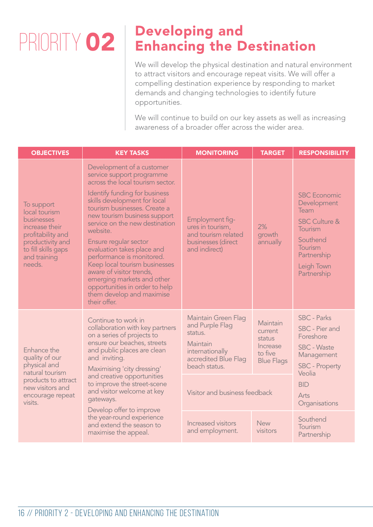## PRIORITY 02

## Developing and Enhancing the Destination

We will develop the physical destination and natural environment to attract visitors and encourage repeat visits. We will offer a compelling destination experience by responding to market demands and changing technologies to identify future opportunities.

We will continue to build on our key assets as well as increasing awareness of a broader offer across the wider area.

| <b>OBJECTIVES</b>                                                                                                                                     | <b>KEY TASKS</b>                                                                                                                                                                                                                                                                                                                                                                                                                                                                                                                        | <b>MONITORING</b>                                                                                                                                                 | <b>TARGET</b>                                                             | <b>RESPONSIBILITY</b>                                                                                                                                           |
|-------------------------------------------------------------------------------------------------------------------------------------------------------|-----------------------------------------------------------------------------------------------------------------------------------------------------------------------------------------------------------------------------------------------------------------------------------------------------------------------------------------------------------------------------------------------------------------------------------------------------------------------------------------------------------------------------------------|-------------------------------------------------------------------------------------------------------------------------------------------------------------------|---------------------------------------------------------------------------|-----------------------------------------------------------------------------------------------------------------------------------------------------------------|
| To support<br>local tourism<br>businesses<br>increase their<br>profitability and<br>productivity and<br>to fill skills gaps<br>and training<br>needs. | Development of a customer<br>service support programme<br>across the local tourism sector.<br>Identify funding for business<br>skills development for local<br>tourism businesses. Create a<br>new tourism business support<br>service on the new destination<br>website.<br>Ensure regular sector<br>evaluation takes place and<br>performance is monitored.<br>Keep local tourism businesses<br>aware of visitor trends,<br>emerging markets and other<br>opportunities in order to help<br>them develop and maximise<br>their offer. | Employment fig-<br>ures in tourism,<br>and tourism related<br>businesses (direct<br>and indirect)                                                                 | 2%<br>growth<br>annually                                                  | <b>SBC</b> Economic<br>Development<br>Team<br><b>SBC Culture &amp;</b><br>Tourism<br>Southend<br>Tourism<br>Partnership<br>Leigh Town<br>Partnership            |
| Enhance the<br>quality of our<br>physical and<br>natural tourism<br>products to attract<br>new visitors and<br>encourage repeat<br>visits.            | Continue to work in<br>collaboration with key partners<br>on a series of projects to<br>ensure our beaches, streets<br>and public places are clean<br>and inviting.<br>Maximising 'city dressing'<br>and creative opportunities<br>to improve the street-scene<br>and visitor welcome at key<br>gateways.<br>Develop offer to improve<br>the year-round experience<br>and extend the season to<br>maximise the appeal.                                                                                                                  | <b>Maintain Green Flag</b><br>and Purple Flag<br>status.<br>Maintain<br>internationally<br>accredited Blue Flag<br>beach status.<br>Visitor and business feedback | Maintain<br>current<br>status<br>Increase<br>to five<br><b>Blue Flags</b> | <b>SBC - Parks</b><br>SBC - Pier and<br>Foreshore<br><b>SBC - Waste</b><br>Management<br><b>SBC</b> - Property<br>Veolia<br><b>BID</b><br>Arts<br>Organisations |
|                                                                                                                                                       |                                                                                                                                                                                                                                                                                                                                                                                                                                                                                                                                         | Increased visitors<br>and employment.                                                                                                                             | <b>New</b><br>visitors                                                    | Southend<br>Tourism<br>Partnership                                                                                                                              |